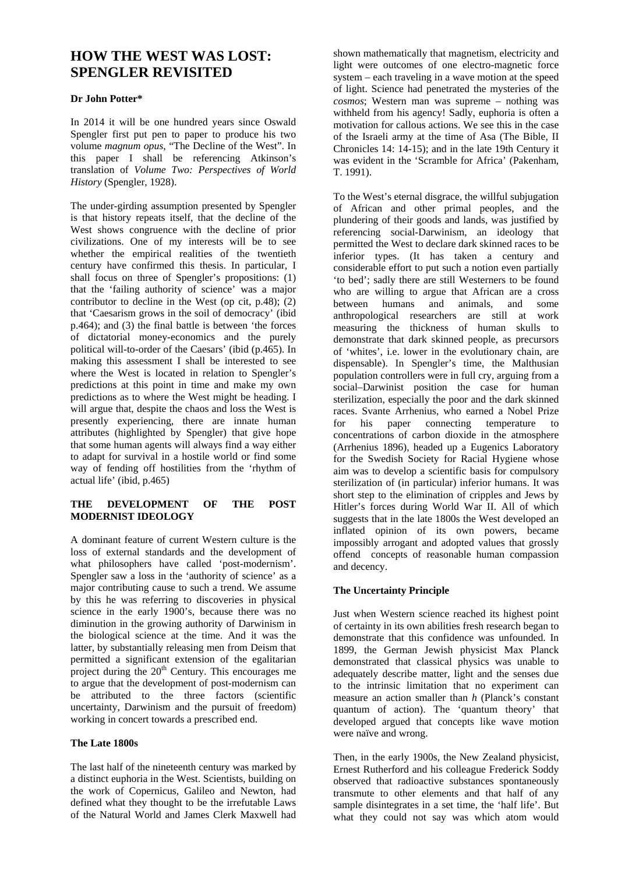# **HOW THE WEST WAS LOST: SPENGLER REVISITED**

## **Dr John Potter\***

In 2014 it will be one hundred years since Oswald Spengler first put pen to paper to produce his two volume *magnum opus*, "The Decline of the West". In this paper I shall be referencing Atkinson's translation of *Volume Two: Perspectives of World History* (Spengler, 1928).

The under-girding assumption presented by Spengler is that history repeats itself, that the decline of the West shows congruence with the decline of prior civilizations. One of my interests will be to see whether the empirical realities of the twentieth century have confirmed this thesis. In particular, I shall focus on three of Spengler's propositions: (1) that the 'failing authority of science' was a major contributor to decline in the West (op cit, p.48); (2) that 'Caesarism grows in the soil of democracy' (ibid p.464); and (3) the final battle is between 'the forces of dictatorial money-economics and the purely political will-to-order of the Caesars' (ibid (p.465). In making this assessment I shall be interested to see where the West is located in relation to Spengler's predictions at this point in time and make my own predictions as to where the West might be heading. I will argue that, despite the chaos and loss the West is presently experiencing, there are innate human attributes (highlighted by Spengler) that give hope that some human agents will always find a way either to adapt for survival in a hostile world or find some way of fending off hostilities from the 'rhythm of actual life' (ibid, p.465)

# **THE DEVELOPMENT OF THE POST MODERNIST IDEOLOGY**

A dominant feature of current Western culture is the loss of external standards and the development of what philosophers have called 'post-modernism'. Spengler saw a loss in the 'authority of science' as a major contributing cause to such a trend. We assume by this he was referring to discoveries in physical science in the early 1900's, because there was no diminution in the growing authority of Darwinism in the biological science at the time. And it was the latter, by substantially releasing men from Deism that permitted a significant extension of the egalitarian project during the  $20<sup>th</sup>$  Century. This encourages me to argue that the development of post-modernism can be attributed to the three factors (scientific uncertainty, Darwinism and the pursuit of freedom) working in concert towards a prescribed end.

## **The Late 1800s**

The last half of the nineteenth century was marked by a distinct euphoria in the West. Scientists, building on the work of Copernicus, Galileo and Newton, had defined what they thought to be the irrefutable Laws of the Natural World and James Clerk Maxwell had

shown mathematically that magnetism, electricity and light were outcomes of one electro-magnetic force system – each traveling in a wave motion at the speed of light. Science had penetrated the mysteries of the *cosmos*; Western man was supreme – nothing was withheld from his agency! Sadly, euphoria is often a motivation for callous actions. We see this in the case of the Israeli army at the time of Asa (The Bible, II Chronicles 14: 14-15); and in the late 19th Century it was evident in the 'Scramble for Africa' (Pakenham, T. 1991).

To the West's eternal disgrace, the willful subjugation of African and other primal peoples, and the plundering of their goods and lands, was justified by referencing social-Darwinism, an ideology that permitted the West to declare dark skinned races to be inferior types. (It has taken a century and considerable effort to put such a notion even partially 'to bed'; sadly there are still Westerners to be found who are willing to argue that African are a cross between humans and animals, and some anthropological researchers are still at work measuring the thickness of human skulls to demonstrate that dark skinned people, as precursors of 'whites', i.e. lower in the evolutionary chain, are dispensable). In Spengler's time, the Malthusian population controllers were in full cry, arguing from a social–Darwinist position the case for human sterilization, especially the poor and the dark skinned races. Svante Arrhenius, who earned a Nobel Prize for his paper connecting temperature to concentrations of carbon dioxide in the atmosphere (Arrhenius 1896), headed up a Eugenics Laboratory for the Swedish Society for Racial Hygiene whose aim was to develop a scientific basis for compulsory sterilization of (in particular) inferior humans. It was short step to the elimination of cripples and Jews by Hitler's forces during World War II. All of which suggests that in the late 1800s the West developed an inflated opinion of its own powers, became impossibly arrogant and adopted values that grossly offend concepts of reasonable human compassion and decency.

# **The Uncertainty Principle**

Just when Western science reached its highest point of certainty in its own abilities fresh research began to demonstrate that this confidence was unfounded. In 1899, the German Jewish physicist Max Planck demonstrated that classical physics was unable to adequately describe matter, light and the senses due to the intrinsic limitation that no experiment can measure an action smaller than *h* (Planck's constant quantum of action). The 'quantum theory' that developed argued that concepts like wave motion were naïve and wrong.

Then, in the early 1900s, the New Zealand physicist, Ernest Rutherford and his colleague Frederick Soddy observed that radioactive substances spontaneously transmute to other elements and that half of any sample disintegrates in a set time, the 'half life'. But what they could not say was which atom would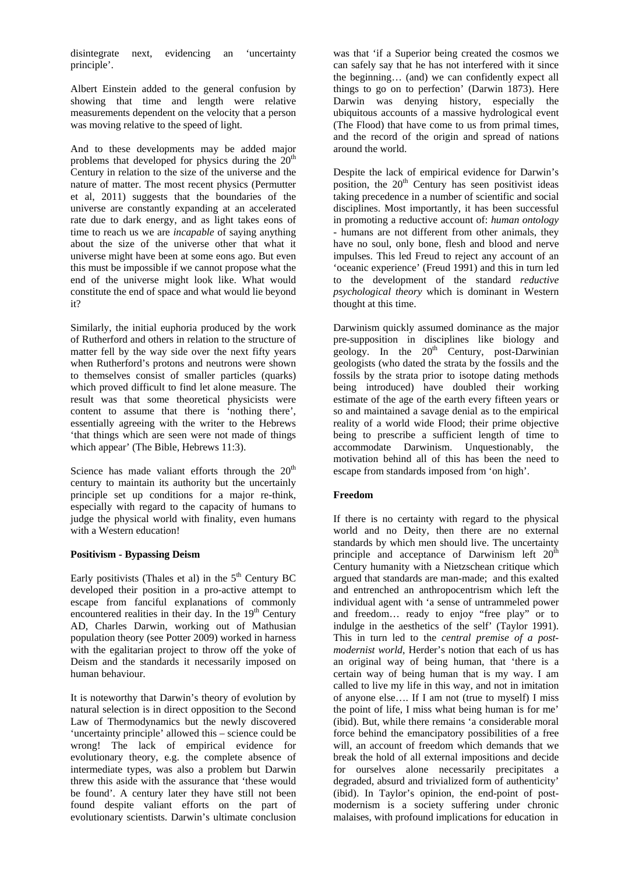disintegrate next, evidencing an 'uncertainty principle'.

Albert Einstein added to the general confusion by showing that time and length were relative measurements dependent on the velocity that a person was moving relative to the speed of light.

And to these developments may be added major problems that developed for physics during the  $20<sup>th</sup>$ Century in relation to the size of the universe and the nature of matter. The most recent physics (Permutter et al, 2011) suggests that the boundaries of the universe are constantly expanding at an accelerated rate due to dark energy, and as light takes eons of time to reach us we are *incapable* of saying anything about the size of the universe other that what it universe might have been at some eons ago. But even this must be impossible if we cannot propose what the end of the universe might look like. What would constitute the end of space and what would lie beyond it?

Similarly, the initial euphoria produced by the work of Rutherford and others in relation to the structure of matter fell by the way side over the next fifty years when Rutherford's protons and neutrons were shown to themselves consist of smaller particles (quarks) which proved difficult to find let alone measure. The result was that some theoretical physicists were content to assume that there is 'nothing there', essentially agreeing with the writer to the Hebrews 'that things which are seen were not made of things which appear' (The Bible, Hebrews 11:3).

Science has made valiant efforts through the  $20<sup>th</sup>$ century to maintain its authority but the uncertainly principle set up conditions for a major re-think, especially with regard to the capacity of humans to judge the physical world with finality, even humans with a Western education!

## **Positivism - Bypassing Deism**

Early positivists (Thales et al) in the  $5<sup>th</sup>$  Century BC developed their position in a pro-active attempt to escape from fanciful explanations of commonly encountered realities in their day. In the  $19<sup>th</sup>$  Century AD, Charles Darwin, working out of Mathusian population theory (see Potter 2009) worked in harness with the egalitarian project to throw off the yoke of Deism and the standards it necessarily imposed on human behaviour.

It is noteworthy that Darwin's theory of evolution by natural selection is in direct opposition to the Second Law of Thermodynamics but the newly discovered 'uncertainty principle' allowed this – science could be wrong! The lack of empirical evidence for evolutionary theory, e.g. the complete absence of intermediate types, was also a problem but Darwin threw this aside with the assurance that 'these would be found'. A century later they have still not been found despite valiant efforts on the part of evolutionary scientists. Darwin's ultimate conclusion

was that 'if a Superior being created the cosmos we can safely say that he has not interfered with it since the beginning… (and) we can confidently expect all things to go on to perfection' (Darwin 1873). Here Darwin was denying history, especially the ubiquitous accounts of a massive hydrological event (The Flood) that have come to us from primal times, and the record of the origin and spread of nations around the world.

Despite the lack of empirical evidence for Darwin's position, the  $20<sup>th</sup>$  Century has seen positivist ideas taking precedence in a number of scientific and social disciplines. Most importantly, it has been successful in promoting a reductive account of: *human ontology*  - humans are not different from other animals, they have no soul, only bone, flesh and blood and nerve impulses. This led Freud to reject any account of an 'oceanic experience' (Freud 1991) and this in turn led to the development of the standard *reductive psychological theory* which is dominant in Western thought at this time.

Darwinism quickly assumed dominance as the major pre-supposition in disciplines like biology and geology. In the  $20^{th}$  Century, post-Darwinian geologists (who dated the strata by the fossils and the fossils by the strata prior to isotope dating methods being introduced) have doubled their working estimate of the age of the earth every fifteen years or so and maintained a savage denial as to the empirical reality of a world wide Flood; their prime objective being to prescribe a sufficient length of time to accommodate Darwinism. Unquestionably, the motivation behind all of this has been the need to escape from standards imposed from 'on high'.

## **Freedom**

If there is no certainty with regard to the physical world and no Deity, then there are no external standards by which men should live. The uncertainty principle and acceptance of Darwinism left  $20<sup>th</sup>$ Century humanity with a Nietzschean critique which argued that standards are man-made; and this exalted and entrenched an anthropocentrism which left the individual agent with 'a sense of untrammeled power and freedom… ready to enjoy "free play" or to indulge in the aesthetics of the self' (Taylor 1991). This in turn led to the *central premise of a postmodernist world*, Herder's notion that each of us has an original way of being human, that 'there is a certain way of being human that is my way. I am called to live my life in this way, and not in imitation of anyone else…. If I am not (true to myself) I miss the point of life, I miss what being human is for me' (ibid). But, while there remains 'a considerable moral force behind the emancipatory possibilities of a free will, an account of freedom which demands that we break the hold of all external impositions and decide for ourselves alone necessarily precipitates a degraded, absurd and trivialized form of authenticity' (ibid). In Taylor's opinion, the end-point of postmodernism is a society suffering under chronic malaises, with profound implications for education in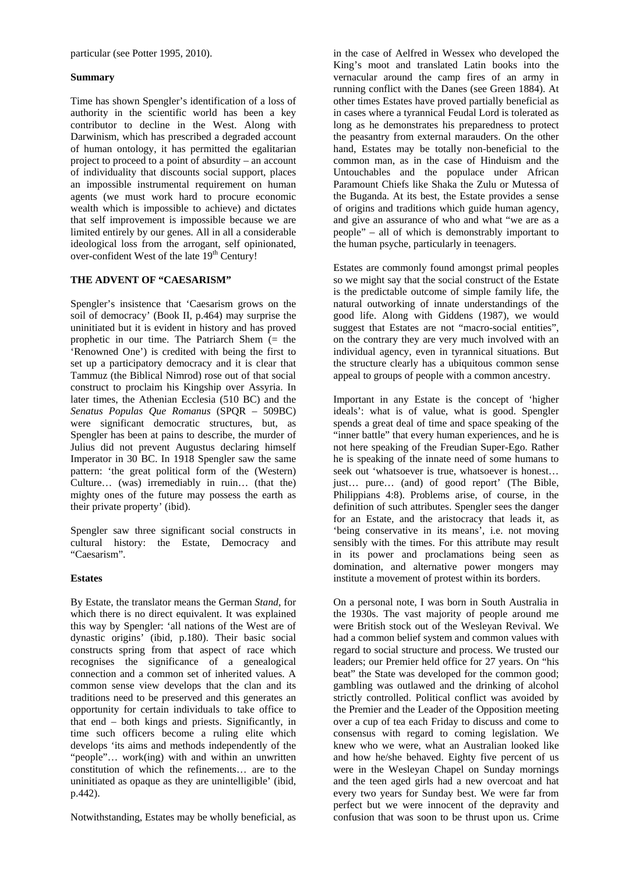particular (see Potter 1995, 2010).

#### **Summary**

Time has shown Spengler's identification of a loss of authority in the scientific world has been a key contributor to decline in the West. Along with Darwinism, which has prescribed a degraded account of human ontology, it has permitted the egalitarian project to proceed to a point of absurdity – an account of individuality that discounts social support, places an impossible instrumental requirement on human agents (we must work hard to procure economic wealth which is impossible to achieve) and dictates that self improvement is impossible because we are limited entirely by our genes. All in all a considerable ideological loss from the arrogant, self opinionated, over-confident West of the late 19<sup>th</sup> Century!

## **THE ADVENT OF "CAESARISM"**

Spengler's insistence that 'Caesarism grows on the soil of democracy' (Book II, p.464) may surprise the uninitiated but it is evident in history and has proved prophetic in our time. The Patriarch Shem (= the 'Renowned One') is credited with being the first to set up a participatory democracy and it is clear that Tammuz (the Biblical Nimrod) rose out of that social construct to proclaim his Kingship over Assyria. In later times, the Athenian Ecclesia (510 BC) and the *Senatus Populas Que Romanus* (SPQR – 509BC) were significant democratic structures, but, as Spengler has been at pains to describe, the murder of Julius did not prevent Augustus declaring himself Imperator in 30 BC. In 1918 Spengler saw the same pattern: 'the great political form of the (Western) Culture… (was) irremediably in ruin… (that the) mighty ones of the future may possess the earth as their private property' (ibid).

Spengler saw three significant social constructs in cultural history: the Estate, Democracy and "Caesarism".

## **Estates**

By Estate, the translator means the German *Stand,* for which there is no direct equivalent. It was explained this way by Spengler: 'all nations of the West are of dynastic origins' (ibid, p.180). Their basic social constructs spring from that aspect of race which recognises the significance of a genealogical connection and a common set of inherited values. A common sense view develops that the clan and its traditions need to be preserved and this generates an opportunity for certain individuals to take office to that end – both kings and priests. Significantly, in time such officers become a ruling elite which develops 'its aims and methods independently of the "people"… work(ing) with and within an unwritten constitution of which the refinements… are to the uninitiated as opaque as they are unintelligible' (ibid, p.442).

Notwithstanding, Estates may be wholly beneficial, as

in the case of Aelfred in Wessex who developed the King's moot and translated Latin books into the vernacular around the camp fires of an army in running conflict with the Danes (see Green 1884). At other times Estates have proved partially beneficial as in cases where a tyrannical Feudal Lord is tolerated as long as he demonstrates his preparedness to protect the peasantry from external marauders. On the other hand, Estates may be totally non-beneficial to the common man, as in the case of Hinduism and the Untouchables and the populace under African Paramount Chiefs like Shaka the Zulu or Mutessa of the Buganda. At its best, the Estate provides a sense of origins and traditions which guide human agency, and give an assurance of who and what "we are as a people" – all of which is demonstrably important to the human psyche, particularly in teenagers.

Estates are commonly found amongst primal peoples so we might say that the social construct of the Estate is the predictable outcome of simple family life, the natural outworking of innate understandings of the good life. Along with Giddens (1987), we would suggest that Estates are not "macro-social entities", on the contrary they are very much involved with an individual agency, even in tyrannical situations. But the structure clearly has a ubiquitous common sense appeal to groups of people with a common ancestry.

Important in any Estate is the concept of 'higher ideals': what is of value, what is good. Spengler spends a great deal of time and space speaking of the "inner battle" that every human experiences, and he is not here speaking of the Freudian Super-Ego. Rather he is speaking of the innate need of some humans to seek out 'whatsoever is true, whatsoever is honest… just… pure… (and) of good report' (The Bible, Philippians 4:8). Problems arise, of course, in the definition of such attributes. Spengler sees the danger for an Estate, and the aristocracy that leads it, as 'being conservative in its means', i.e. not moving sensibly with the times. For this attribute may result in its power and proclamations being seen as domination, and alternative power mongers may institute a movement of protest within its borders.

On a personal note, I was born in South Australia in the 1930s. The vast majority of people around me were British stock out of the Wesleyan Revival. We had a common belief system and common values with regard to social structure and process. We trusted our leaders; our Premier held office for 27 years. On "his beat" the State was developed for the common good; gambling was outlawed and the drinking of alcohol strictly controlled. Political conflict was avoided by the Premier and the Leader of the Opposition meeting over a cup of tea each Friday to discuss and come to consensus with regard to coming legislation. We knew who we were, what an Australian looked like and how he/she behaved. Eighty five percent of us were in the Wesleyan Chapel on Sunday mornings and the teen aged girls had a new overcoat and hat every two years for Sunday best. We were far from perfect but we were innocent of the depravity and confusion that was soon to be thrust upon us. Crime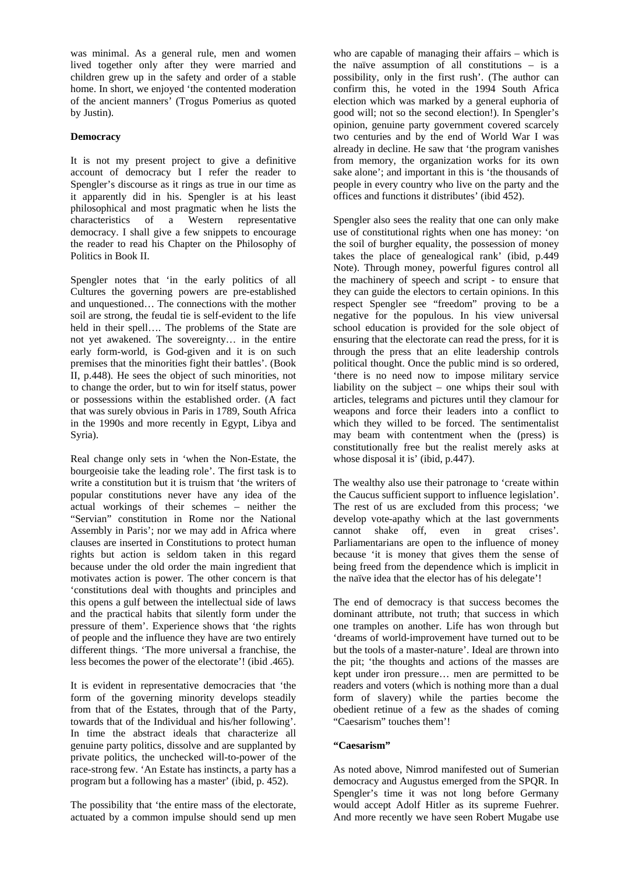was minimal. As a general rule, men and women lived together only after they were married and children grew up in the safety and order of a stable home. In short, we enjoyed 'the contented moderation of the ancient manners' (Trogus Pomerius as quoted by Justin).

## **Democracy**

It is not my present project to give a definitive account of democracy but I refer the reader to Spengler's discourse as it rings as true in our time as it apparently did in his. Spengler is at his least philosophical and most pragmatic when he lists the characteristics of a Western representative democracy. I shall give a few snippets to encourage the reader to read his Chapter on the Philosophy of Politics in Book II.

Spengler notes that 'in the early politics of all Cultures the governing powers are pre-established and unquestioned… The connections with the mother soil are strong, the feudal tie is self-evident to the life held in their spell…. The problems of the State are not yet awakened. The sovereignty… in the entire early form-world, is God-given and it is on such premises that the minorities fight their battles'. (Book II, p.448). He sees the object of such minorities, not to change the order, but to win for itself status, power or possessions within the established order. (A fact that was surely obvious in Paris in 1789, South Africa in the 1990s and more recently in Egypt, Libya and Syria).

Real change only sets in 'when the Non-Estate, the bourgeoisie take the leading role'. The first task is to write a constitution but it is truism that 'the writers of popular constitutions never have any idea of the actual workings of their schemes – neither the "Servian" constitution in Rome nor the National Assembly in Paris'; nor we may add in Africa where clauses are inserted in Constitutions to protect human rights but action is seldom taken in this regard because under the old order the main ingredient that motivates action is power. The other concern is that 'constitutions deal with thoughts and principles and this opens a gulf between the intellectual side of laws and the practical habits that silently form under the pressure of them'. Experience shows that 'the rights of people and the influence they have are two entirely different things. 'The more universal a franchise, the less becomes the power of the electorate'! (ibid .465).

It is evident in representative democracies that 'the form of the governing minority develops steadily from that of the Estates, through that of the Party, towards that of the Individual and his/her following'. In time the abstract ideals that characterize all genuine party politics, dissolve and are supplanted by private politics, the unchecked will-to-power of the race-strong few. 'An Estate has instincts, a party has a program but a following has a master' (ibid, p. 452).

The possibility that 'the entire mass of the electorate, actuated by a common impulse should send up men

who are capable of managing their affairs – which is the naïve assumption of all constitutions – is a possibility, only in the first rush'. (The author can confirm this, he voted in the 1994 South Africa election which was marked by a general euphoria of good will; not so the second election!). In Spengler's opinion, genuine party government covered scarcely two centuries and by the end of World War I was already in decline. He saw that 'the program vanishes from memory, the organization works for its own sake alone'; and important in this is 'the thousands of people in every country who live on the party and the offices and functions it distributes' (ibid 452).

Spengler also sees the reality that one can only make use of constitutional rights when one has money: 'on the soil of burgher equality, the possession of money takes the place of genealogical rank' (ibid, p.449 Note). Through money, powerful figures control all the machinery of speech and script - to ensure that they can guide the electors to certain opinions. In this respect Spengler see "freedom" proving to be a negative for the populous. In his view universal school education is provided for the sole object of ensuring that the electorate can read the press, for it is through the press that an elite leadership controls political thought. Once the public mind is so ordered, 'there is no need now to impose military service liability on the subject – one whips their soul with articles, telegrams and pictures until they clamour for weapons and force their leaders into a conflict to which they willed to be forced. The sentimentalist may beam with contentment when the (press) is constitutionally free but the realist merely asks at whose disposal it is' (ibid, p.447).

The wealthy also use their patronage to 'create within the Caucus sufficient support to influence legislation'. The rest of us are excluded from this process; 'we develop vote-apathy which at the last governments cannot shake off, even in great crises'. Parliamentarians are open to the influence of money because 'it is money that gives them the sense of being freed from the dependence which is implicit in the naïve idea that the elector has of his delegate'!

The end of democracy is that success becomes the dominant attribute, not truth; that success in which one tramples on another. Life has won through but 'dreams of world-improvement have turned out to be but the tools of a master-nature'. Ideal are thrown into the pit; 'the thoughts and actions of the masses are kept under iron pressure… men are permitted to be readers and voters (which is nothing more than a dual form of slavery) while the parties become the obedient retinue of a few as the shades of coming "Caesarism" touches them'!

## **"Caesarism"**

As noted above, Nimrod manifested out of Sumerian democracy and Augustus emerged from the SPQR. In Spengler's time it was not long before Germany would accept Adolf Hitler as its supreme Fuehrer. And more recently we have seen Robert Mugabe use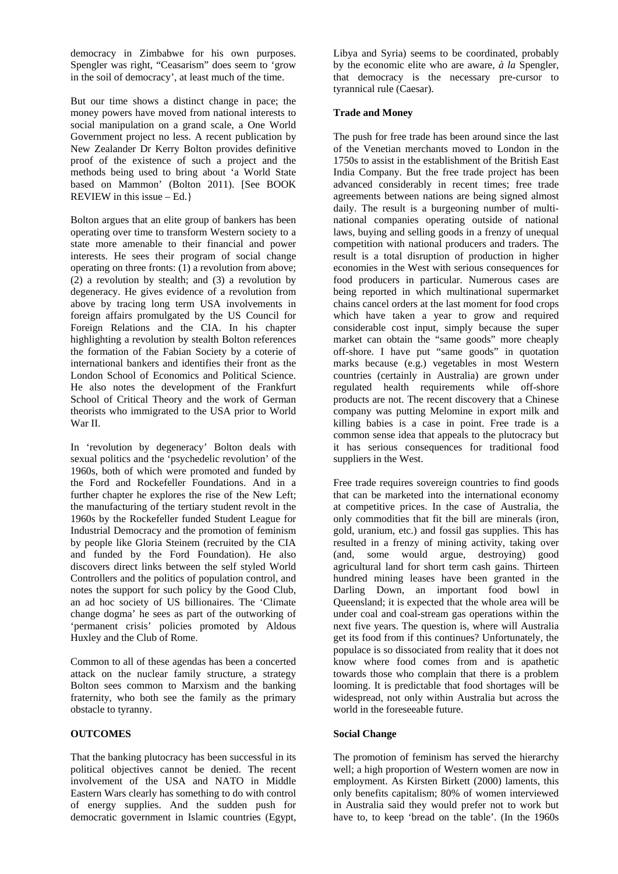democracy in Zimbabwe for his own purposes. Spengler was right, "Ceasarism" does seem to 'grow in the soil of democracy', at least much of the time.

But our time shows a distinct change in pace; the money powers have moved from national interests to social manipulation on a grand scale, a One World Government project no less. A recent publication by New Zealander Dr Kerry Bolton provides definitive proof of the existence of such a project and the methods being used to bring about 'a World State based on Mammon' (Bolton 2011). [See BOOK REVIEW in this issue – Ed.}

Bolton argues that an elite group of bankers has been operating over time to transform Western society to a state more amenable to their financial and power interests. He sees their program of social change operating on three fronts: (1) a revolution from above; (2) a revolution by stealth; and (3) a revolution by degeneracy. He gives evidence of a revolution from above by tracing long term USA involvements in foreign affairs promulgated by the US Council for Foreign Relations and the CIA. In his chapter highlighting a revolution by stealth Bolton references the formation of the Fabian Society by a coterie of international bankers and identifies their front as the London School of Economics and Political Science. He also notes the development of the Frankfurt School of Critical Theory and the work of German theorists who immigrated to the USA prior to World War II.

In 'revolution by degeneracy' Bolton deals with sexual politics and the 'psychedelic revolution' of the 1960s, both of which were promoted and funded by the Ford and Rockefeller Foundations. And in a further chapter he explores the rise of the New Left; the manufacturing of the tertiary student revolt in the 1960s by the Rockefeller funded Student League for Industrial Democracy and the promotion of feminism by people like Gloria Steinem (recruited by the CIA and funded by the Ford Foundation). He also discovers direct links between the self styled World Controllers and the politics of population control, and notes the support for such policy by the Good Club, an ad hoc society of US billionaires. The 'Climate change dogma' he sees as part of the outworking of 'permanent crisis' policies promoted by Aldous Huxley and the Club of Rome.

Common to all of these agendas has been a concerted attack on the nuclear family structure, a strategy Bolton sees common to Marxism and the banking fraternity, who both see the family as the primary obstacle to tyranny.

## **OUTCOMES**

That the banking plutocracy has been successful in its political objectives cannot be denied. The recent involvement of the USA and NATO in Middle Eastern Wars clearly has something to do with control of energy supplies. And the sudden push for democratic government in Islamic countries (Egypt,

Libya and Syria) seems to be coordinated, probably by the economic elite who are aware, *à la* Spengler, that democracy is the necessary pre-cursor to tyrannical rule (Caesar).

# **Trade and Money**

The push for free trade has been around since the last of the Venetian merchants moved to London in the 1750s to assist in the establishment of the British East India Company. But the free trade project has been advanced considerably in recent times; free trade agreements between nations are being signed almost daily. The result is a burgeoning number of multinational companies operating outside of national laws, buying and selling goods in a frenzy of unequal competition with national producers and traders. The result is a total disruption of production in higher economies in the West with serious consequences for food producers in particular. Numerous cases are being reported in which multinational supermarket chains cancel orders at the last moment for food crops which have taken a year to grow and required considerable cost input, simply because the super market can obtain the "same goods" more cheaply off-shore. I have put "same goods" in quotation marks because (e.g.) vegetables in most Western countries (certainly in Australia) are grown under regulated health requirements while off-shore products are not. The recent discovery that a Chinese company was putting Melomine in export milk and killing babies is a case in point. Free trade is a common sense idea that appeals to the plutocracy but it has serious consequences for traditional food suppliers in the West.

Free trade requires sovereign countries to find goods that can be marketed into the international economy at competitive prices. In the case of Australia, the only commodities that fit the bill are minerals (iron, gold, uranium, etc.) and fossil gas supplies. This has resulted in a frenzy of mining activity, taking over (and, some would argue, destroying) good agricultural land for short term cash gains. Thirteen hundred mining leases have been granted in the Darling Down, an important food bowl in Queensland; it is expected that the whole area will be under coal and coal-stream gas operations within the next five years. The question is, where will Australia get its food from if this continues? Unfortunately, the populace is so dissociated from reality that it does not know where food comes from and is apathetic towards those who complain that there is a problem looming. It is predictable that food shortages will be widespread, not only within Australia but across the world in the foreseeable future.

# **Social Change**

The promotion of feminism has served the hierarchy well; a high proportion of Western women are now in employment. As Kirsten Birkett (2000) laments, this only benefits capitalism; 80% of women interviewed in Australia said they would prefer not to work but have to, to keep 'bread on the table'. (In the 1960s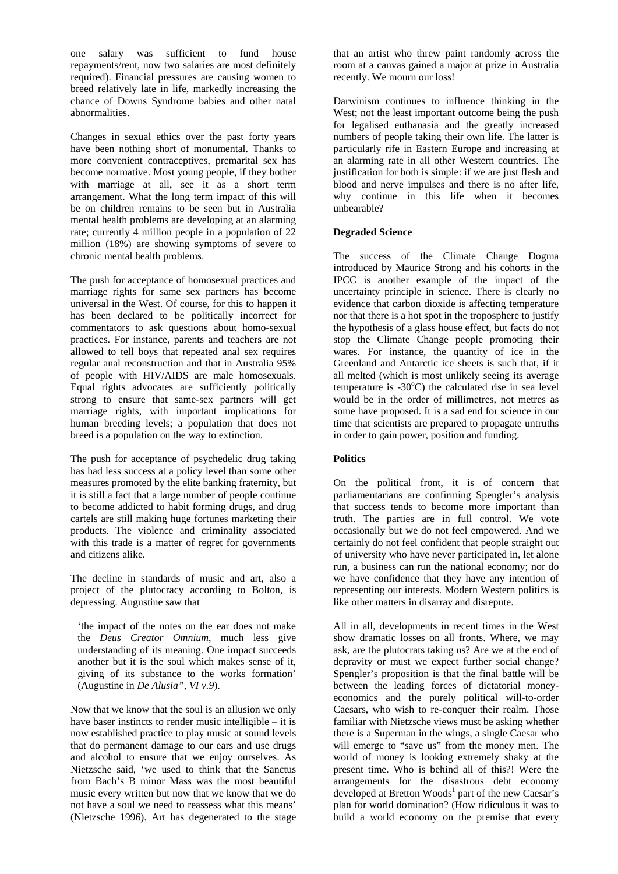one salary was sufficient to fund house repayments/rent, now two salaries are most definitely required). Financial pressures are causing women to breed relatively late in life, markedly increasing the chance of Downs Syndrome babies and other natal abnormalities.

Changes in sexual ethics over the past forty years have been nothing short of monumental. Thanks to more convenient contraceptives, premarital sex has become normative. Most young people, if they bother with marriage at all, see it as a short term arrangement. What the long term impact of this will be on children remains to be seen but in Australia mental health problems are developing at an alarming rate; currently 4 million people in a population of 22 million (18%) are showing symptoms of severe to chronic mental health problems.

The push for acceptance of homosexual practices and marriage rights for same sex partners has become universal in the West. Of course, for this to happen it has been declared to be politically incorrect for commentators to ask questions about homo-sexual practices. For instance, parents and teachers are not allowed to tell boys that repeated anal sex requires regular anal reconstruction and that in Australia 95% of people with HIV/AIDS are male homosexuals. Equal rights advocates are sufficiently politically strong to ensure that same-sex partners will get marriage rights, with important implications for human breeding levels; a population that does not breed is a population on the way to extinction.

The push for acceptance of psychedelic drug taking has had less success at a policy level than some other measures promoted by the elite banking fraternity, but it is still a fact that a large number of people continue to become addicted to habit forming drugs, and drug cartels are still making huge fortunes marketing their products. The violence and criminality associated with this trade is a matter of regret for governments and citizens alike.

The decline in standards of music and art, also a project of the plutocracy according to Bolton, is depressing. Augustine saw that

'the impact of the notes on the ear does not make the *Deus Creator Omnium*, much less give understanding of its meaning. One impact succeeds another but it is the soul which makes sense of it, giving of its substance to the works formation' (Augustine in *De Alusia", VI v.9*).

Now that we know that the soul is an allusion we only have baser instincts to render music intelligible – it is now established practice to play music at sound levels that do permanent damage to our ears and use drugs and alcohol to ensure that we enjoy ourselves. As Nietzsche said, 'we used to think that the Sanctus from Bach's B minor Mass was the most beautiful music every written but now that we know that we do not have a soul we need to reassess what this means' (Nietzsche 1996). Art has degenerated to the stage

that an artist who threw paint randomly across the room at a canvas gained a major at prize in Australia recently. We mourn our loss!

Darwinism continues to influence thinking in the West; not the least important outcome being the push for legalised euthanasia and the greatly increased numbers of people taking their own life. The latter is particularly rife in Eastern Europe and increasing at an alarming rate in all other Western countries. The justification for both is simple: if we are just flesh and blood and nerve impulses and there is no after life, why continue in this life when it becomes unbearable?

## **Degraded Science**

The success of the Climate Change Dogma introduced by Maurice Strong and his cohorts in the IPCC is another example of the impact of the uncertainty principle in science. There is clearly no evidence that carbon dioxide is affecting temperature nor that there is a hot spot in the troposphere to justify the hypothesis of a glass house effect, but facts do not stop the Climate Change people promoting their wares. For instance, the quantity of ice in the Greenland and Antarctic ice sheets is such that, if it all melted (which is most unlikely seeing its average temperature is  $-30^{\circ}\text{C}$ ) the calculated rise in sea level would be in the order of millimetres, not metres as some have proposed. It is a sad end for science in our time that scientists are prepared to propagate untruths in order to gain power, position and funding.

## **Politics**

On the political front, it is of concern that parliamentarians are confirming Spengler's analysis that success tends to become more important than truth. The parties are in full control. We vote occasionally but we do not feel empowered. And we certainly do not feel confident that people straight out of university who have never participated in, let alone run, a business can run the national economy; nor do we have confidence that they have any intention of representing our interests. Modern Western politics is like other matters in disarray and disrepute.

All in all, developments in recent times in the West show dramatic losses on all fronts. Where, we may ask, are the plutocrats taking us? Are we at the end of depravity or must we expect further social change? Spengler's proposition is that the final battle will be between the leading forces of dictatorial moneyeconomics and the purely political will-to-order Caesars, who wish to re-conquer their realm. Those familiar with Nietzsche views must be asking whether there is a Superman in the wings, a single Caesar who will emerge to "save us" from the money men. The world of money is looking extremely shaky at the present time. Who is behind all of this?! Were the arrangements for the disastrous debt economy developed at Bretton Woods<sup>1</sup> part of the new Caesar's plan for world domination? (How ridiculous it was to build a world economy on the premise that every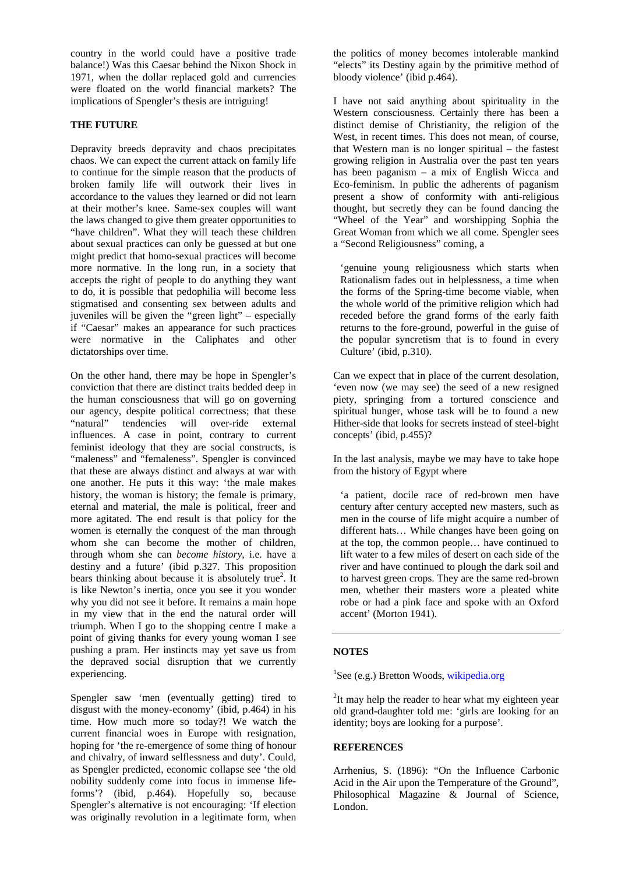country in the world could have a positive trade balance!) Was this Caesar behind the Nixon Shock in 1971, when the dollar replaced gold and currencies were floated on the world financial markets? The implications of Spengler's thesis are intriguing!

#### **THE FUTURE**

Depravity breeds depravity and chaos precipitates chaos. We can expect the current attack on family life to continue for the simple reason that the products of broken family life will outwork their lives in accordance to the values they learned or did not learn at their mother's knee. Same-sex couples will want the laws changed to give them greater opportunities to "have children". What they will teach these children about sexual practices can only be guessed at but one might predict that homo-sexual practices will become more normative. In the long run, in a society that accepts the right of people to do anything they want to do, it is possible that pedophilia will become less stigmatised and consenting sex between adults and juveniles will be given the "green light" – especially if "Caesar" makes an appearance for such practices were normative in the Caliphates and other dictatorships over time.

On the other hand, there may be hope in Spengler's conviction that there are distinct traits bedded deep in the human consciousness that will go on governing our agency, despite political correctness; that these "natural" tendencies will over-ride external influences. A case in point, contrary to current feminist ideology that they are social constructs, is "maleness" and "femaleness". Spengler is convinced that these are always distinct and always at war with one another. He puts it this way: 'the male makes history, the woman is history; the female is primary, eternal and material, the male is political, freer and more agitated. The end result is that policy for the women is eternally the conquest of the man through whom she can become the mother of children, through whom she can *become history*, i.e. have a destiny and a future' (ibid p.327. This proposition bears thinking about because it is absolutely true<sup>2</sup>. It is like Newton's inertia, once you see it you wonder why you did not see it before. It remains a main hope in my view that in the end the natural order will triumph. When I go to the shopping centre I make a point of giving thanks for every young woman I see pushing a pram. Her instincts may yet save us from the depraved social disruption that we currently experiencing.

Spengler saw 'men (eventually getting) tired to disgust with the money-economy' (ibid, p.464) in his time. How much more so today?! We watch the current financial woes in Europe with resignation, hoping for 'the re-emergence of some thing of honour and chivalry, of inward selflessness and duty'. Could, as Spengler predicted, economic collapse see 'the old nobility suddenly come into focus in immense lifeforms'? (ibid, p.464). Hopefully so, because Spengler's alternative is not encouraging: 'If election was originally revolution in a legitimate form, when the politics of money becomes intolerable mankind "elects" its Destiny again by the primitive method of bloody violence' (ibid p.464).

I have not said anything about spirituality in the Western consciousness. Certainly there has been a distinct demise of Christianity, the religion of the West, in recent times. This does not mean, of course, that Western man is no longer spiritual – the fastest growing religion in Australia over the past ten years has been paganism – a mix of English Wicca and Eco-feminism. In public the adherents of paganism present a show of conformity with anti-religious thought, but secretly they can be found dancing the "Wheel of the Year" and worshipping Sophia the Great Woman from which we all come. Spengler sees a "Second Religiousness" coming, a

'genuine young religiousness which starts when Rationalism fades out in helplessness, a time when the forms of the Spring-time become viable, when the whole world of the primitive religion which had receded before the grand forms of the early faith returns to the fore-ground, powerful in the guise of the popular syncretism that is to found in every Culture' (ibid, p.310).

Can we expect that in place of the current desolation, 'even now (we may see) the seed of a new resigned piety, springing from a tortured conscience and spiritual hunger, whose task will be to found a new Hither-side that looks for secrets instead of steel-bight concepts' (ibid, p.455)?

In the last analysis, maybe we may have to take hope from the history of Egypt where

'a patient, docile race of red-brown men have century after century accepted new masters, such as men in the course of life might acquire a number of different hats… While changes have been going on at the top, the common people… have continued to lift water to a few miles of desert on each side of the river and have continued to plough the dark soil and to harvest green crops. They are the same red-brown men, whether their masters wore a pleated white robe or had a pink face and spoke with an Oxford accent' (Morton 1941).

#### **NOTES**

<sup>1</sup>See (e.g.) Bretton Woods, wikipedia.org

 $2$ It may help the reader to hear what my eighteen year old grand-daughter told me: 'girls are looking for an identity; boys are looking for a purpose'.

#### **REFERENCES**

Arrhenius, S. (1896): "On the Influence Carbonic Acid in the Air upon the Temperature of the Ground", Philosophical Magazine & Journal of Science, London.